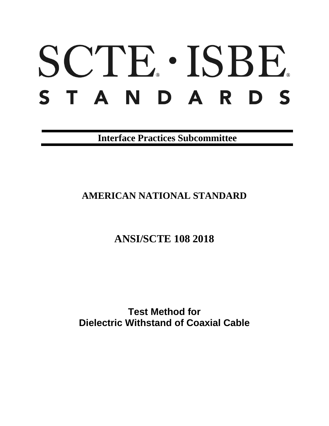# SCTE · ISBE. STANDARDS

**Interface Practices Subcommittee**

## **AMERICAN NATIONAL STANDARD**

**ANSI/SCTE 108 2018**

**Test Method for Dielectric Withstand of Coaxial Cable**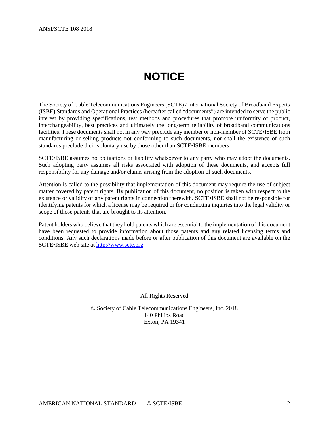# **NOTICE**

<span id="page-1-0"></span>The Society of Cable Telecommunications Engineers (SCTE) / International Society of Broadband Experts (ISBE) Standards and Operational Practices (hereafter called "documents") are intended to serve the public interest by providing specifications, test methods and procedures that promote uniformity of product, interchangeability, best practices and ultimately the long-term reliability of broadband communications facilities. These documents shall not in any way preclude any member or non-member of SCTE•ISBE from manufacturing or selling products not conforming to such documents, nor shall the existence of such standards preclude their voluntary use by those other than SCTE•ISBE members.

SCTE•ISBE assumes no obligations or liability whatsoever to any party who may adopt the documents. Such adopting party assumes all risks associated with adoption of these documents, and accepts full responsibility for any damage and/or claims arising from the adoption of such documents.

Attention is called to the possibility that implementation of this document may require the use of subject matter covered by patent rights. By publication of this document, no position is taken with respect to the existence or validity of any patent rights in connection therewith. SCTE•ISBE shall not be responsible for identifying patents for which a license may be required or for conducting inquiries into the legal validity or scope of those patents that are brought to its attention.

Patent holders who believe that they hold patents which are essential to the implementation of this document have been requested to provide information about those patents and any related licensing terms and conditions. Any such declarations made before or after publication of this document are available on the SCTE•ISBE web site at [http://www.scte.org.](http://www.scte.org/)

All Rights Reserved

© Society of Cable Telecommunications Engineers, Inc. 2018 140 Philips Road Exton, PA 19341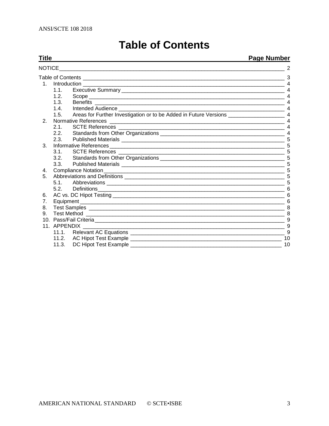<span id="page-2-0"></span>

| Title          | <u>Page Number</u> |                                                                                                                                            |                       |
|----------------|--------------------|--------------------------------------------------------------------------------------------------------------------------------------------|-----------------------|
| <b>NOTICE</b>  |                    |                                                                                                                                            |                       |
|                |                    |                                                                                                                                            |                       |
|                |                    |                                                                                                                                            |                       |
|                | 1.1.               |                                                                                                                                            |                       |
|                | 1.2.               |                                                                                                                                            |                       |
|                | 1.3.               |                                                                                                                                            | $\overline{4}$        |
|                | 1.4.               |                                                                                                                                            | $\overline{4}$        |
|                | 1.5.               |                                                                                                                                            |                       |
| 2.             |                    |                                                                                                                                            |                       |
|                | 2.1                |                                                                                                                                            | $\overline{4}$        |
|                | 2.2.               |                                                                                                                                            | $\boldsymbol{\Delta}$ |
|                | 2.3.               |                                                                                                                                            |                       |
| 3.             |                    |                                                                                                                                            |                       |
|                | 3.1.               |                                                                                                                                            |                       |
|                | 3.2.               |                                                                                                                                            |                       |
|                | 3.3.               |                                                                                                                                            |                       |
| 4.             |                    |                                                                                                                                            |                       |
| 5.             |                    |                                                                                                                                            |                       |
|                | 5.1                |                                                                                                                                            |                       |
|                |                    | 5.2. Definitions<br><u> 1989 - Johann Johann Harry Harry Harry Harry Harry Harry Harry Harry Harry Harry Harry Harry Harry Harry Harry</u> | 6                     |
| 6.             |                    |                                                                                                                                            |                       |
| 7 <sub>1</sub> |                    |                                                                                                                                            |                       |
| 8.             |                    |                                                                                                                                            |                       |
| 9.             |                    |                                                                                                                                            | 8                     |
|                |                    |                                                                                                                                            | 9                     |
|                | 11. APPENDIX       |                                                                                                                                            |                       |
|                |                    |                                                                                                                                            | 9                     |
|                | 11.2.              |                                                                                                                                            | 10                    |
|                | 11.3.              | DC Hipot Test Example                                                                                                                      | 10                    |

# **Table of Contents**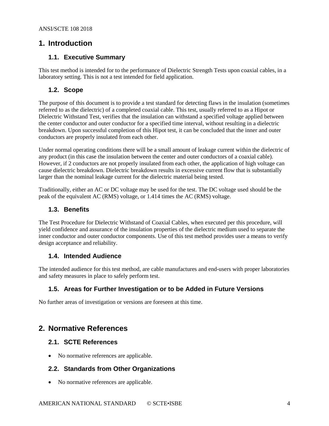## <span id="page-3-1"></span><span id="page-3-0"></span>**1. Introduction**

## **1.1. Executive Summary**

This test method is intended for to the performance of Dielectric Strength Tests upon coaxial cables, in a laboratory setting. This is not a test intended for field application.

## <span id="page-3-2"></span>**1.2. Scope**

The purpose of this document is to provide a test standard for detecting flaws in the insulation (sometimes referred to as the dielectric) of a completed coaxial cable. This test, usually referred to as a Hipot or Dielectric Withstand Test, verifies that the insulation can withstand a specified voltage applied between the center conductor and outer conductor for a specified time interval, without resulting in a dielectric breakdown. Upon successful completion of this Hipot test, it can be concluded that the inner and outer conductors are properly insulated from each other.

Under normal operating conditions there will be a small amount of leakage current within the dielectric of any product (in this case the insulation between the center and outer conductors of a coaxial cable). However, if 2 conductors are not properly insulated from each other, the application of high voltage can cause dielectric breakdown. Dielectric breakdown results in excessive current flow that is substantially larger than the nominal leakage current for the dielectric material being tested.

Traditionally, either an AC or DC voltage may be used for the test. The DC voltage used should be the peak of the equivalent AC (RMS) voltage, or 1.414 times the AC (RMS) voltage.

## <span id="page-3-3"></span>**1.3. Benefits**

The Test Procedure for Dielectric Withstand of Coaxial Cables, when executed per this procedure, will yield confidence and assurance of the insulation properties of the dielectric medium used to separate the inner conductor and outer conductor components. Use of this test method provides user a means to verify design acceptance and reliability.

## <span id="page-3-4"></span>**1.4. Intended Audience**

The intended audience for this test method, are cable manufactures and end-users with proper laboratories and safety measures in place to safely perform test.

## <span id="page-3-5"></span>**1.5. Areas for Further Investigation or to be Added in Future Versions**

No further areas of investigation or versions are foreseen at this time.

## <span id="page-3-6"></span>**2. Normative References**

## <span id="page-3-7"></span>**2.1. SCTE References**

<span id="page-3-8"></span>• No normative references are applicable.

## **2.2. Standards from Other Organizations**

• No normative references are applicable.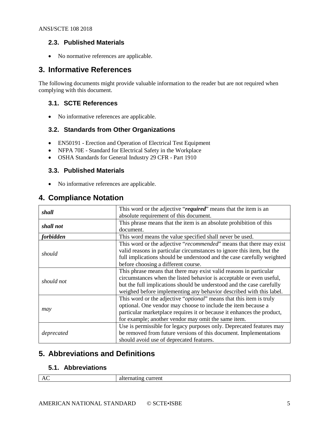## <span id="page-4-0"></span>**2.3. Published Materials**

• No normative references are applicable.

## <span id="page-4-1"></span>**3. Informative References**

The following documents might provide valuable information to the reader but are not required when complying with this document.

## <span id="page-4-2"></span>**3.1. SCTE References**

• No informative references are applicable.

## <span id="page-4-3"></span>**3.2. Standards from Other Organizations**

- EN50191 Erection and Operation of Electrical Test Equipment
- NFPA 70E Standard for Electrical Safety in the Workplace
- OSHA Standards for General Industry 29 CFR Part 1910

## <span id="page-4-4"></span>**3.3. Published Materials**

• No informative references are applicable.

## <span id="page-4-5"></span>**4. Compliance Notation**

| shall      | This word or the adjective "required" means that the item is an        |  |
|------------|------------------------------------------------------------------------|--|
|            | absolute requirement of this document.                                 |  |
| shall not  | This phrase means that the item is an absolute prohibition of this     |  |
|            | document.                                                              |  |
| forbidden  | This word means the value specified shall never be used.               |  |
|            | This word or the adjective "recommended" means that there may exist    |  |
| should     | valid reasons in particular circumstances to ignore this item, but the |  |
|            | full implications should be understood and the case carefully weighted |  |
|            | before choosing a different course.                                    |  |
|            | This phrase means that there may exist valid reasons in particular     |  |
| should not | circumstances when the listed behavior is acceptable or even useful,   |  |
|            | but the full implications should be understood and the case carefully  |  |
|            | weighed before implementing any behavior described with this label.    |  |
|            | This word or the adjective "optional" means that this item is truly    |  |
|            | optional. One vendor may choose to include the item because a          |  |
| may        | particular marketplace requires it or because it enhances the product, |  |
|            | for example; another vendor may omit the same item.                    |  |
|            | Use is permissible for legacy purposes only. Deprecated features may   |  |
| deprecated | be removed from future versions of this document. Implementations      |  |
|            | should avoid use of deprecated features.                               |  |

## <span id="page-4-6"></span>**5. Abbreviations and Definitions**

#### <span id="page-4-7"></span>**5.1. Abbreviations**

| $\overline{\phantom{a}}$ | 71 L |
|--------------------------|------|
|                          |      |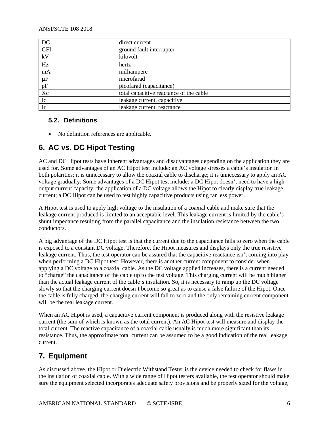| DC              | direct current                          |
|-----------------|-----------------------------------------|
| <b>GFI</b>      | ground fault interrupter                |
| kV              | kilovolt                                |
| $\overline{Hz}$ | hertz                                   |
| mA              | milliampere                             |
| $\mu F$         | microfarad                              |
| pF              | picofarad (capacitance)                 |
| Xc              | total capacitive reactance of the cable |
| Ic              | leakage current, capacitive             |
| Ir              | leakage current, reactance              |

## <span id="page-5-0"></span>**5.2. Definitions**

• No definition references are applicable.

## <span id="page-5-1"></span>**6. AC vs. DC Hipot Testing**

AC and DC Hipot tests have inherent advantages and disadvantages depending on the application they are used for. Some advantages of an AC Hipot test include: an AC voltage stresses a cable's insulation in both polarities; it is unnecessary to allow the coaxial cable to discharge; it is unnecessary to apply an AC voltage gradually. Some advantages of a DC Hipot test include: a DC Hipot doesn't need to have a high output current capacity; the application of a DC voltage allows the Hipot to clearly display true leakage current; a DC Hipot can be used to test highly capacitive products using far less power.

A Hipot test is used to apply high voltage to the insulation of a coaxial cable and make sure that the leakage current produced is limited to an acceptable level. This leakage current is limited by the cable's shunt impedance resulting from the parallel capacitance and the insulation resistance between the two conductors.

A big advantage of the DC Hipot test is that the current due to the capacitance falls to zero when the cable is exposed to a constant DC voltage. Therefore, the Hipot measures and displays only the true resistive leakage current. Thus, the test operator can be assured that the capacitive reactance isn't coming into play when performing a DC Hipot test. However, there is another current component to consider when applying a DC voltage to a coaxial cable. As the DC voltage applied increases, there is a current needed to "charge" the capacitance of the cable up to the test voltage. This charging current will be much higher than the actual leakage current of the cable's insulation. So, it is necessary to ramp up the DC voltage slowly so that the charging current doesn't become so great as to cause a false failure of the Hipot. Once the cable is fully charged, the charging current will fall to zero and the only remaining current component will be the real leakage current.

When an AC Hipot is used, a capacitive current component is produced along with the resistive leakage current (the sum of which is known as the total current). An AC Hipot test will measure and display the total current. The reactive capacitance of a coaxial cable usually is much more significant than its resistance. Thus, the approximate total current can be assumed to be a good indication of the real leakage current.

## <span id="page-5-2"></span>**7. Equipment**

As discussed above, the Hipot or Dielectric Withstand Tester is the device needed to check for flaws in the insulation of coaxial cable. With a wide range of Hipot testers available, the test operator should make sure the equipment selected incorporates adequate safety provisions and be properly sized for the voltage,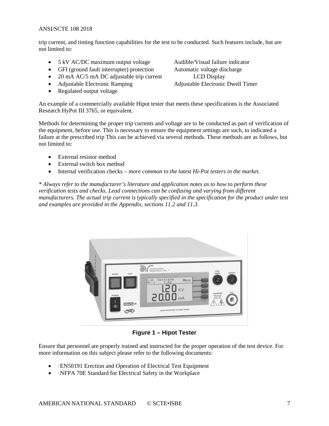trip current, and timing function capabilities for the test to be conducted. Such features include, but are not limited to:

- 5 kV AC/DC maximum output voltage Audible/Visual failure indicator
- GFI (ground fault interrupter) protection Automatic voltage discharge
- 20 mA AC/5 mA DC adjustable trip current LCD Display
- 
- Regulated output voltage

• Adjustable Electronic Ramping Adjustable Electronic Dwell Timer

An example of a commercially available Hipot tester that meets these specifications is the Associated Research HyPot III 3765, or equivalent.

Methods for determining the proper trip currents and voltage are to be conducted as part of verification of the equipment, before use. This is necessary to ensure the equipment settings are such, to indicated a failure at the prescribed trip This can be achieved via several methods. These methods are as follows, but not limited to:

- External resistor method
- External switch box method
- Internal verification checks *more common to the latest Hi-Pot testers in the market.*

*\* Always refer to the manufacturer's literature and application notes as to how to perform these verification tests and checks. Lead connections can be confusing and varying from different manufacturers. The actual trip current is typically specified in the specification for the product under test and examples are provided in the Appendix, sections 11.2 and 11.3.*



**Figure 1 – Hipot Tester**

Ensure that personnel are properly trained and instructed for the proper operation of the test device. For more information on this subject please refer to the following documents:

- ·EN50191 Erection and Operation of Electrical Test Equipment
- · NFPA 70E Standard for Electrical Safety in the Workplace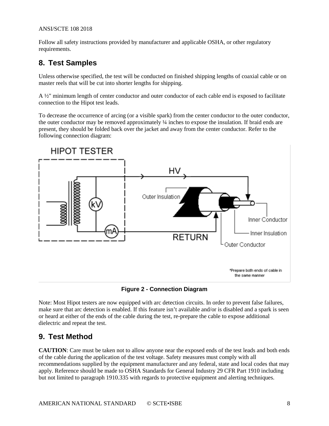Follow all safety instructions provided by manufacturer and applicable OSHA, or other regulatory requirements.

## <span id="page-7-0"></span>**8. Test Samples**

Unless otherwise specified, the test will be conducted on finished shipping lengths of coaxial cable or on master reels that will be cut into shorter lengths for shipping.

A ½" minimum length of center conductor and outer conductor of each cable end is exposed to facilitate connection to the Hipot test leads.

To decrease the occurrence of arcing (or a visible spark) from the center conductor to the outer conductor, the outer conductor may be removed approximately ¼ inches to expose the insulation. If braid ends are present, they should be folded back over the jacket and away from the center conductor. Refer to the following connection diagram:



#### **Figure 2 - Connection Diagram**

Note: Most Hipot testers are now equipped with arc detection circuits. In order to prevent false failures, make sure that arc detection is enabled. If this feature isn't available and/or is disabled and a spark is seen or heard at either of the ends of the cable during the test, re-prepare the cable to expose additional dielectric and repeat the test.

## <span id="page-7-1"></span>**9. Test Method**

**CAUTION**: Care must be taken not to allow anyone near the exposed ends of the test leads and both ends of the cable during the application of the test voltage. Safety measures must comply with all recommendations supplied by the equipment manufacturer and any federal, state and local codes that may apply. Reference should be made to OSHA Standards for General Industry 29 CFR Part 1910 including but not limited to paragraph 1910.335 with regards to protective equipment and alerting techniques.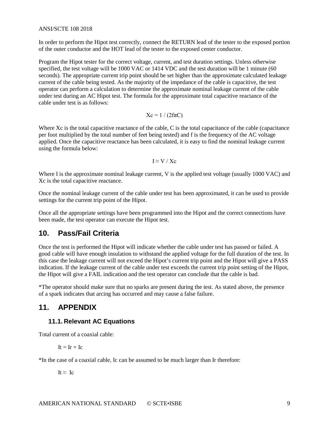In order to perform the Hipot test correctly, connect the RETURN lead of the tester to the exposed portion of the outer conductor and the HOT lead of the tester to the exposed center conductor.

Program the Hipot tester for the correct voltage, current, and test duration settings. Unless otherwise specified, the test voltage will be 1000 VAC or 1414 VDC and the test duration will be 1 minute (60 seconds). The appropriate current trip point should be set higher than the approximate calculated leakage current of the cable being tested. As the majority of the impedance of the cable is capacitive, the test operator can perform a calculation to determine the approximate nominal leakage current of the cable under test during an AC Hipot test. The formula for the approximate total capacitive reactance of the cable under test is as follows:

$$
Xc = 1/(2f\pi C)
$$

Where Xc is the total capacitive reactance of the cable, C is the total capacitance of the cable (capacitance per foot multiplied by the total number of feet being tested) and f is the frequency of the AC voltage applied. Once the capacitive reactance has been calculated, it is easy to find the nominal leakage current using the formula below:

$$
I \approx V \mathbin{/} Xc
$$

Where I is the approximate nominal leakage current, V is the applied test voltage (usually 1000 VAC) and Xc is the total capacitive reactance.

Once the nominal leakage current of the cable under test has been approximated, it can be used to provide settings for the current trip point of the Hipot.

Once all the appropriate settings have been programmed into the Hipot and the correct connections have been made, the test operator can execute the Hipot test.

## <span id="page-8-0"></span>**10. Pass/Fail Criteria**

Once the test is performed the Hipot will indicate whether the cable under test has passed or failed. A good cable will have enough insulation to withstand the applied voltage for the full duration of the test. In this case the leakage current will not exceed the Hipot's current trip point and the Hipot will give a PASS indication. If the leakage current of the cable under test exceeds the current trip point setting of the Hipot, the Hipot will give a FAIL indication and the test operator can conclude that the cable is bad.

\*The operator should make sure that no sparks are present during the test. As stated above, the presence of a spark indicates that arcing has occurred and may cause a false failure.

## <span id="page-8-2"></span><span id="page-8-1"></span>**11. APPENDIX**

#### **11.1. Relevant AC Equations**

Total current of a coaxial cable:

 $It = Ir + Ic$ 

\*In the case of a coaxial cable, Ic can be assumed to be much larger than Ir therefore:

It  $\approx$  Ic